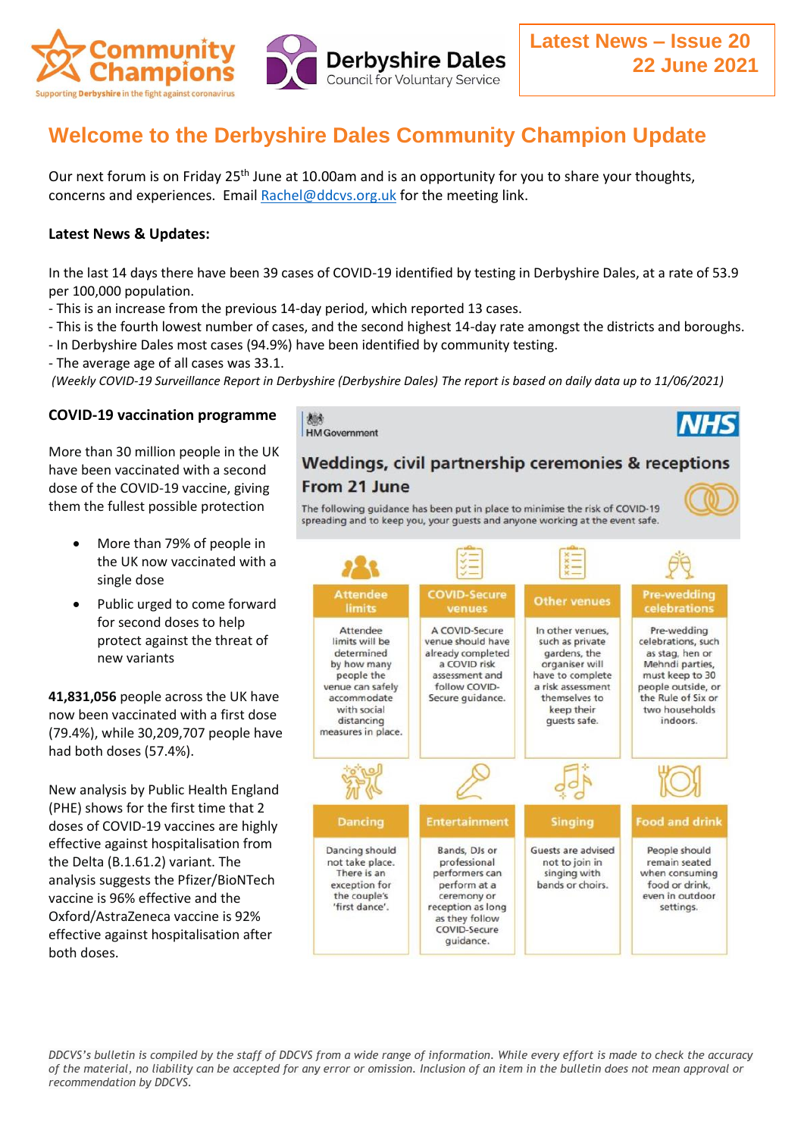

# **Welcome to the Derbyshire Dales Community Champion Update**

Our next forum is on Friday 25<sup>th</sup> June at 10.00am and is an opportunity for you to share your thoughts, concerns and experiences. Email [Rachel@ddcvs.org.uk](mailto:Rachel@ddcvs.org.uk) for the meeting link.

### **Latest News & Updates:**

In the last 14 days there have been 39 cases of COVID-19 identified by testing in Derbyshire Dales, at a rate of 53.9 per 100,000 population.

- This is an increase from the previous 14-day period, which reported 13 cases.
- This is the fourth lowest number of cases, and the second highest 14-day rate amongst the districts and boroughs.
- In Derbyshire Dales most cases (94.9%) have been identified by community testing.
- The average age of all cases was 33.1.

*(Weekly COVID-19 Surveillance Report in Derbyshire (Derbyshire Dales) The report is based on daily data up to 11/06/2021)*

## **COVID-19 vaccination programme**

More than 30 million people in the UK have been vaccinated with a second dose of the COVID-19 vaccine, giving them the fullest possible protection

- More than 79% of people in the UK now vaccinated with a single dose
- Public urged to come forward for second doses to help protect against the threat of new variants

**41,831,056** people across the UK have now been vaccinated with a first dose (79.4%), while 30,209,707 people have had both doses (57.4%).

New analysis by Public Health England (PHE) shows for the first time that 2 doses of COVID-19 vaccines are highly effective against hospitalisation from the Delta (B.1.61.2) variant. The analysis suggests the Pfizer/BioNTech vaccine is 96% effective and the Oxford/AstraZeneca vaccine is 92% effective against hospitalisation after both doses.

越 **HM** Government

# Weddings, civil partnership ceremonies & receptions

## From 21 June

The following guidance has been put in place to minimise the risk of COVID-19 spreading and to keep you, your guests and anyone working at the event safe.



*DDCVS's bulletin is compiled by the staff of DDCVS from a wide range of information. While every effort is made to check the accuracy of the material, no liability can be accepted for any error or omission. Inclusion of an item in the bulletin does not mean approval or recommendation by DDCVS.*